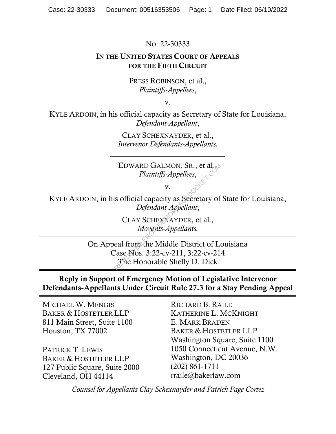No. 22-30333

### IN THE UNITED STATES COURT OF APPEALS FOR THE FIFTH CIRCUIT

PRESS ROBINSON, et al., *Plaintiffs-Appellees*,

v.

KYLE ARDOIN, in his official capacity as Secretary of State for Louisiana, *Defendant-Appellant*,

> CLAY SCHEXNAYDER, et al., *Intervenor Defendants-Appellants.*

\_\_\_\_\_\_\_\_\_\_\_\_\_\_\_\_\_\_\_\_\_\_\_\_\_\_\_\_\_\_

EDWARD GALMON, SR., et al., *Plaintiffs-Appellees*,

v.

KYLE ARDOIN, in his official capacity as Secretary of State for Louisiana, *Defendant-Appellant*,

> CLAY SCHEXNAYDER, et al., *Movants-Appellants.*

On Appeal from the Middle District of Louisiana Case Nos. 3:22-cv-211, 3:22-cv-214 The Honorable Shelly D. Dick EDWARD GALMON, SR., et al.<br> *Plaintiffs-Appellees*,<br>
v.<br>
is official capacity as Secretary of<br> *Defendant-Appellant*,<br>
CLAY SCHEXNAYDER, et al.,<br> *Movents-Appellants.*<br>
eal from the Middle District of Lase Nos. 3:22-cv-211

## Reply in Support of Emergency Motion of Legislative Intervenor Defendants-Appellants Under Circuit Rule 27.3 for a Stay Pending Appeal

MICHAEL W. MENGIS BAKER & HOSTETLER LLP 811 Main Street, Suite 1100 Houston, TX 77002

PATRICK T. LEWIS BAKER & HOSTETLER LLP 127 Public Square, Suite 2000 Cleveland, OH 44114

RICHARD B. RAILE KATHERINE L. MCKNIGHT E. MARK BRADEN BAKER & HOSTETLER LLP Washington Square, Suite 1100 1050 Connecticut Avenue, N.W. Washington, DC 20036 (202) 861-1711 rraile@bakerlaw.com

*Counsel for Appellants Clay Schexnayder and Patrick Page Cortez*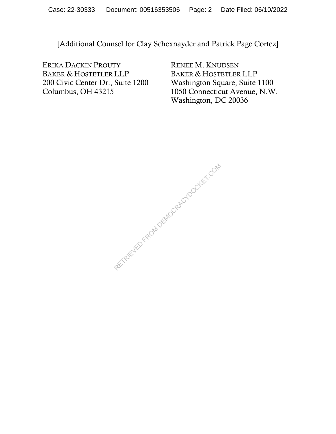[Additional Counsel for Clay Schexnayder and Patrick Page Cortez]

ERIKA DACKIN PROUTY BAKER & HOSTETLER LLP 200 Civic Center Dr., Suite 1200 Columbus, OH 43215

RENEE M. KNUDSEN BAKER & HOSTETLER LLP Washington Square, Suite 1100 1050 Connecticut Avenue, N.W. Washington, DC 20036

RETRIEVED FROM DEMOCRACYDOCKET.COM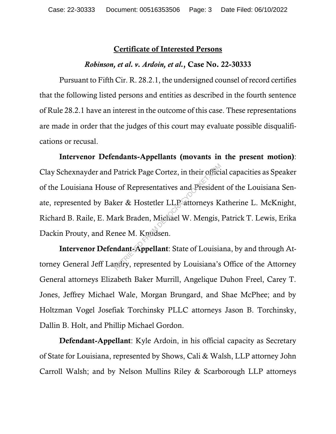### Certificate of Interested Persons

#### *Robinson, et al. v. Ardoin, et al.*, Case No. 22-30333

Pursuant to Fifth Cir. R. 28.2.1, the undersigned counsel of record certifies that the following listed persons and entities as described in the fourth sentence of Rule 28.2.1 have an interest in the outcome of this case. These representations are made in order that the judges of this court may evaluate possible disqualifications or recusal.

Intervenor Defendants-Appellants (movants in the present motion): Clay Schexnayder and Patrick Page Cortez, in their official capacities as Speaker of the Louisiana House of Representatives and President of the Louisiana Senate, represented by Baker & Hostetler LLP attorneys Katherine L. McKnight, Richard B. Raile, E. Mark Braden, Michael W. Mengis, Patrick T. Lewis, Erika Dackin Prouty, and Renee M. Knudsen. Patrick Page Cortez, in their offici<br>
e of Representatives and Presiden<br>
ker & Hostetler LLP attorneys K<br>
ark Braden, Michael W. Mengis,<br>
nee M. Knudsen.<br>
ndant-Appellant: State of Louisia<br>
ndant-Appellant: State of Louisi

Intervenor Defendant-Appellant: State of Louisiana, by and through Attorney General Jeff Landry, represented by Louisiana's Office of the Attorney General attorneys Elizabeth Baker Murrill, Angelique Duhon Freel, Carey T. Jones, Jeffrey Michael Wale, Morgan Brungard, and Shae McPhee; and by Holtzman Vogel Josefiak Torchinsky PLLC attorneys Jason B. Torchinsky, Dallin B. Holt, and Phillip Michael Gordon.

Defendant-Appellant: Kyle Ardoin, in his official capacity as Secretary of State for Louisiana, represented by Shows, Cali & Walsh, LLP attorney John Carroll Walsh; and by Nelson Mullins Riley & Scarborough LLP attorneys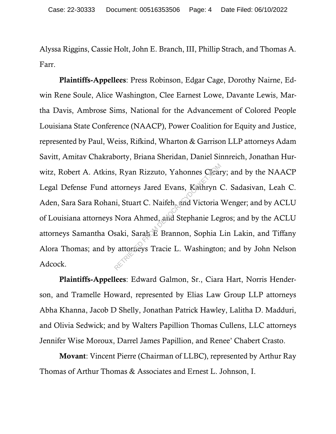Alyssa Riggins, Cassie Holt, John E. Branch, III, Phillip Strach, and Thomas A. Farr.

Plaintiffs-Appellees: Press Robinson, Edgar Cage, Dorothy Nairne, Edwin Rene Soule, Alice Washington, Clee Earnest Lowe, Davante Lewis, Martha Davis, Ambrose Sims, National for the Advancement of Colored People Louisiana State Conference (NAACP), Power Coalition for Equity and Justice, represented by Paul, Weiss, Rifkind, Wharton & Garrison LLP attorneys Adam Savitt, Amitav Chakraborty, Briana Sheridan, Daniel Sinnreich, Jonathan Hurwitz, Robert A. Atkins, Ryan Rizzuto, Yahonnes Cleary; and by the NAACP Legal Defense Fund attorneys Jared Evans, Kathryn C. Sadasivan, Leah C. Aden, Sara Sara Rohani, Stuart C. Naifeh, and Victoria Wenger; and by ACLU of Louisiana attorneys Nora Ahmed, and Stephanie Legros; and by the ACLU attorneys Samantha Osaki, Sarah E Brannon, Sophia Lin Lakin, and Tiffany Alora Thomas; and by attorneys Tracie L. Washington; and by John Nelson Adcock. RETRIEU SCHOLEN (R. 1919)<br>Returneys Jared Evans, Kathryn<br>In Stuart C. Naifeh, and Victoria<br>Nora Ahmed, and Stephanie Leg<br>Saki, Sarah E Brannon, Sophia I<br>Tattorieys Tracie L. Washington

Plaintiffs-Appellees: Edward Galmon, Sr., Ciara Hart, Norris Henderson, and Tramelle Howard, represented by Elias Law Group LLP attorneys Abha Khanna, Jacob D Shelly, Jonathan Patrick Hawley, Lalitha D. Madduri, and Olivia Sedwick; and by Walters Papillion Thomas Cullens, LLC attorneys Jennifer Wise Moroux, Darrel James Papillion, and Renee' Chabert Crasto.

Movant: Vincent Pierre (Chairman of LLBC), represented by Arthur Ray Thomas of Arthur Thomas & Associates and Ernest L. Johnson, I.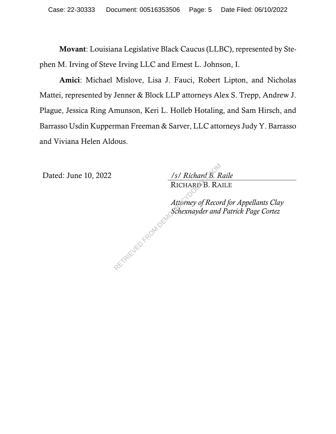Movant: Louisiana Legislative Black Caucus (LLBC), represented by Stephen M. Irving of Steve Irving LLC and Ernest L. Johnson, I.

Amici: Michael Mislove, Lisa J. Fauci, Robert Lipton, and Nicholas Mattei, represented by Jenner & Block LLP attorneys Alex S. Trepp, Andrew J. Plague, Jessica Ring Amunson, Keri L. Holleb Hotaling, and Sam Hirsch, and Barrasso Usdin Kupperman Freeman & Sarver, LLC attorneys Judy Y. Barrasso and Viviana Helen Aldous.

Dated: June 10, 2022 */s/ Richard B. Raile*

RICHARD B. RAILE

*Attorney of Record for Appellants Clay Schexnayder and Patrick Page Cortez*   $\frac{1}{s}$  RICHARD B. RA<br>RICHARD B. RA<br>Attorney of Recor<br>Schexnayder and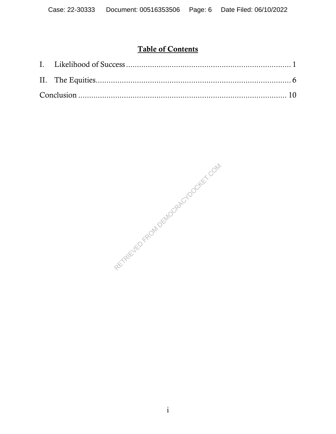# Table of Contents

RETRIEVED FROM DEMOCRACYDOCKET.COM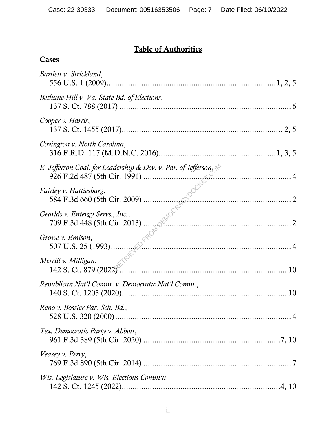# Table of Authorities

| Cases                                                                      |  |
|----------------------------------------------------------------------------|--|
| Bartlett v. Strickland,                                                    |  |
| Bethune-Hill v. Va. State Bd. of Elections,                                |  |
| Cooper v. Harris,                                                          |  |
| Covington v. North Carolina,                                               |  |
| E. Jefferson Coal. for Leadership & Dev. v. Par. of Jefferson              |  |
| Fairley v. Hattiesburg,                                                    |  |
| Gearlds v. Entergy Servs., Inc.,                                           |  |
| Growe v. Emison,                                                           |  |
| <i>Fill v. Milligan</i> ,<br>142 S. Ct. 879 (2022)<br>Merrill v. Milligan, |  |
| Republican Nat'l Comm. v. Democratic Nat'l Comm.,                          |  |
| Reno v. Bossier Par. Sch. Bd.,                                             |  |
| Tex. Democratic Party v. Abbott,                                           |  |
| Veasey v. Perry,                                                           |  |
| Wis. Legislature v. Wis. Elections Comm'n,                                 |  |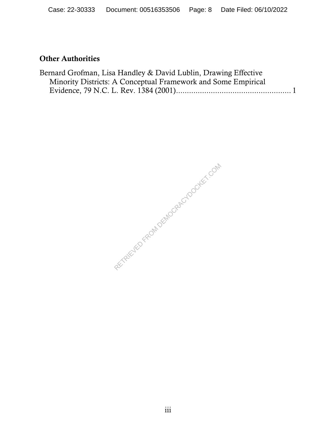# Other Authorities

| Bernard Grofman, Lisa Handley & David Lublin, Drawing Effective |  |
|-----------------------------------------------------------------|--|
| Minority Districts: A Conceptual Framework and Some Empirical   |  |
|                                                                 |  |

RETRIEVED FROM DEMOCRACYDOCKET.COM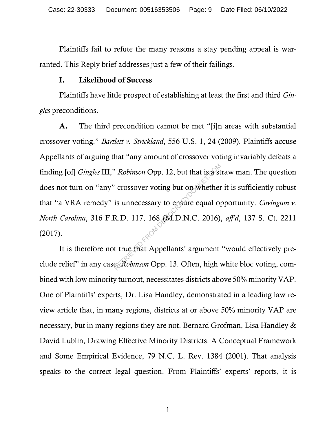Plaintiffs fail to refute the many reasons a stay pending appeal is warranted. This Reply brief addresses just a few of their failings.

### I. Likelihood of Success

Plaintiffs have little prospect of establishing at least the first and third *Gingles* preconditions.

A. The third precondition cannot be met "[i]n areas with substantial crossover voting." *Bartlett v. Strickland*, 556 U.S. 1, 24 (2009). Plaintiffs accuse Appellants of arguing that "any amount of crossover voting invariably defeats a finding [of] *Gingles* III," *Robinson* Opp. 12, but that is a straw man. The question does not turn on "any" crossover voting but on whether it is sufficiently robust that "a VRA remedy" is unnecessary to ensure equal opportunity. *Covington v. North Carolina*, 316 F.R.D. 117, 168 (M.D.N.C. 2016), *aff'd*, 137 S. Ct. 2211 (2017). Representing but on whether<br>
R.D. 117, 168 (M.D.N.C. 2016).<br>
R.D. 117, 168 (M.D.N.C. 2016).<br>
R.D. 117, 168 (M.D.N.C. 2016).<br>
The true that Appellants' argument exhalts argument.

It is therefore not true that Appellants' argument "would effectively preclude relief" in any case. *Robinson* Opp. 13. Often, high white bloc voting, combined with low minority turnout, necessitates districts above 50% minority VAP. One of Plaintiffs' experts, Dr. Lisa Handley, demonstrated in a leading law review article that, in many regions, districts at or above 50% minority VAP are necessary, but in many regions they are not. Bernard Grofman, Lisa Handley & David Lublin, Drawing Effective Minority Districts: A Conceptual Framework and Some Empirical Evidence, 79 N.C. L. Rev. 1384 (2001). That analysis speaks to the correct legal question. From Plaintiffs' experts' reports, it is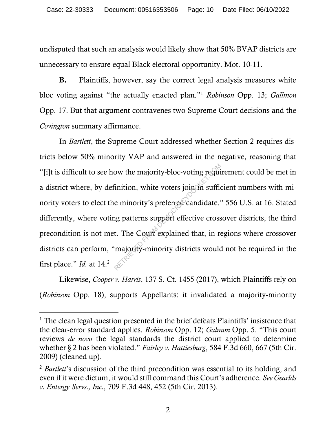undisputed that such an analysis would likely show that 50% BVAP districts are unnecessary to ensure equal Black electoral opportunity. Mot. 10-11.

B. Plaintiffs, however, say the correct legal analysis measures white bloc voting against "the actually enacted plan."<sup>1</sup> *Robinson* Opp. 13; *Gallmon* Opp. 17. But that argument contravenes two Supreme Court decisions and the *Covington* summary affirmance.

In *Bartlett*, the Supreme Court addressed whether Section 2 requires districts below 50% minority VAP and answered in the negative, reasoning that "[i]t is difficult to see how the majority-bloc-voting requirement could be met in a district where, by definition, white voters join in sufficient numbers with minority voters to elect the minority's preferred candidate." 556 U.S. at 16. Stated differently, where voting patterns support effective crossover districts, the third precondition is not met. The Court explained that, in regions where crossover districts can perform, "majority-minority districts would not be required in the first place." *Id.* at 14.<sup>2</sup> ow the majority-bloc-voting required<br>
inition, white voters join suffice<br>
e minority's preferred candidate.<br>
In particular explained that, in required in the Court explained that, in required that, in required that in the

Likewise, *Cooper v. Harris*, 137 S. Ct. 1455 (2017), which Plaintiffs rely on (*Robinson* Opp. 18), supports Appellants: it invalidated a majority-minority

<sup>&</sup>lt;sup>1</sup> The clean legal question presented in the brief defeats Plaintiffs' insistence that the clear-error standard applies. *Robinson* Opp. 12; *Galmon* Opp. 5. "This court reviews *de novo* the legal standards the district court applied to determine whether § 2 has been violated." *Fairley v. Hattiesburg*, 584 F.3d 660, 667 (5th Cir. 2009) (cleaned up).

<sup>&</sup>lt;sup>2</sup> *Bartlett*'s discussion of the third precondition was essential to its holding, and even if it were dictum, it would still command this Court's adherence. *See Gearlds v. Entergy Servs., Inc.*, 709 F.3d 448, 452 (5th Cir. 2013).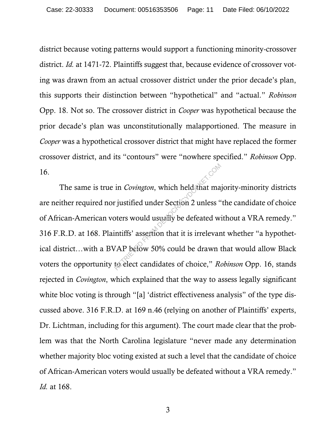district because voting patterns would support a functioning minority-crossover district. *Id.* at 1471-72. Plaintiffs suggest that, because evidence of crossover voting was drawn from an actual crossover district under the prior decade's plan, this supports their distinction between "hypothetical" and "actual." *Robinson*  Opp. 18. Not so. The crossover district in *Cooper* was hypothetical because the prior decade's plan was unconstitutionally malapportioned. The measure in *Cooper* was a hypothetical crossover district that might have replaced the former crossover district, and its "contours" were "nowhere specified." *Robinson* Opp. 16.

The same is true in *Covington*, which held that majority-minority districts are neither required nor justified under Section 2 unless "the candidate of choice of African-American voters would usually be defeated without a VRA remedy." 316 F.R.D. at 168. Plaintiffs' assertion that it is irrelevant whether "a hypothetical district…with a BVAP below 50% could be drawn that would allow Black voters the opportunity to elect candidates of choice," *Robinson* Opp. 16, stands rejected in *Covington*, which explained that the way to assess legally significant white bloc voting is through "[a] 'district effectiveness analysis" of the type discussed above. 316 F.R.D. at 169 n.46 (relying on another of Plaintiffs' experts, Dr. Lichtman, including for this argument). The court made clear that the problem was that the North Carolina legislature "never made any determination whether majority bloc voting existed at such a level that the candidate of choice of African-American voters would usually be defeated without a VRA remedy." *Id.* at 168. in *Covington*, which held that may intified under Section 2 unless "<br>bters would usually be defeated with its interval intiffs' assertion that it is irrelevant VAP below 50% could be drawn to the elect candidates of choic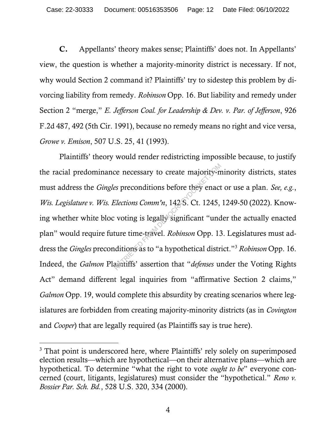C. Appellants' theory makes sense; Plaintiffs' does not. In Appellants' view, the question is whether a majority-minority district is necessary. If not, why would Section 2 command it? Plaintiffs' try to sidestep this problem by divorcing liability from remedy. *Robinson* Opp. 16. But liability and remedy under Section 2 "merge," *E. Jefferson Coal. for Leadership & Dev. v. Par. of Jefferson*, 926 F.2d 487, 492 (5th Cir. 1991), because no remedy means no right and vice versa, *Growe v. Emison*, 507 U.S. 25, 41 (1993).

Plaintiffs' theory would render redistricting impossible because, to justify the racial predominance necessary to create majority-minority districts, states must address the *Gingles* preconditions before they enact or use a plan. *See, e.g.*, *Wis. Legislature v. Wis. Elections Comm'n*, 142 S. Ct. 1245, 1249-50 (2022). Knowing whether white bloc voting is legally significant "under the actually enacted plan" would require future time-travel. *Robinson* Opp. 13. Legislatures must address the *Gingles* preconditions as to "a hypothetical district."<sup>3</sup> *Robinson* Opp. 16. Indeed, the *Galmon* Plaintiffs' assertion that "*defenses* under the Voting Rights Act" demand different legal inquiries from "affirmative Section 2 claims," *Galmon* Opp. 19, would complete this absurdity by creating scenarios where legislatures are forbidden from creating majority-minority districts (as in *Covington* and *Cooper*) that are legally required (as Plaintiffs say is true here). res preconditions before they enact<br>Elections Comm'n, 142-S. Ct. 1245,<br>voting is legally significant "und<br>ture time-travel. Robinson Opp. 13<br>ditions as to "a hypothetical distraintiffs' assertion that "defenses un

<sup>&</sup>lt;sup>3</sup> That point is underscored here, where Plaintiffs' rely solely on superimposed election results—which are hypothetical—on their alternative plans—which are hypothetical. To determine "what the right to vote *ought to be*" everyone concerned (court, litigants, legislatures) must consider the "hypothetical." *Reno v. Bossier Par. Sch. Bd.*, 528 U.S. 320, 334 (2000).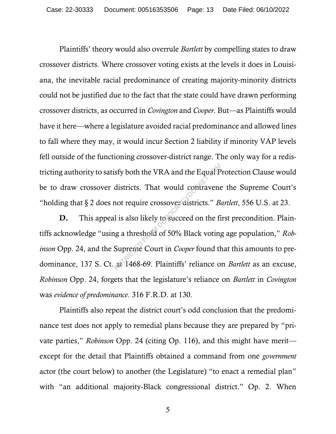Plaintiffs' theory would also overrule *Bartlett* by compelling states to draw crossover districts. Where crossover voting exists at the levels it does in Louisiana, the inevitable racial predominance of creating majority-minority districts could not be justified due to the fact that the state could have drawn performing crossover districts, as occurred in *Covington* and *Cooper*. But—as Plaintiffs would have it here—where a legislature avoided racial predominance and allowed lines to fall where they may, it would incur Section 2 liability if minority VAP levels fell outside of the functioning crossover-district range. The only way for a redistricting authority to satisfy both the VRA and the Equal Protection Clause would be to draw crossover districts. That would contravene the Supreme Court's "holding that § 2 does not require crossover districts." *Bartlett*, 556 U.S. at 23.

D. This appeal is also likely to succeed on the first precondition. Plaintiffs acknowledge "using a threshold of 50% Black voting age population," *Robinson* Opp. 24, and the Supreme Court in *Cooper* found that this amounts to predominance, 137 S. Ct. at 1468-69. Plaintiffs' reliance on *Bartlett* as an excuse, *Robinson* Opp. 24, forgets that the legislature's reliance on *Bartlett* in *Covington* was *evidence of predominance*. 316 F.R.D. at 130. sfy both the VRA and the Equal P<br>districts. That would contravene<br>not require crossover districts." *B*<br>is also likely to succeed on the fi<br>ig a threshold of 50% Black voting<br>Supreme Court in *Cooper* found the at 1468-69.

Plaintiffs also repeat the district court's odd conclusion that the predominance test does not apply to remedial plans because they are prepared by "private parties," *Robinson* Opp. 24 (citing Op. 116), and this might have merit except for the detail that Plaintiffs obtained a command from one *government*  actor (the court below) to another (the Legislature) "to enact a remedial plan" with "an additional majority-Black congressional district." Op. 2. When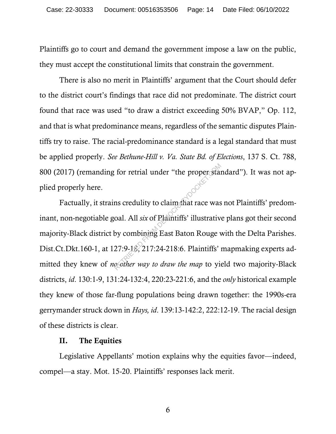Plaintiffs go to court and demand the government impose a law on the public, they must accept the constitutional limits that constrain the government.

There is also no merit in Plaintiffs' argument that the Court should defer to the district court's findings that race did not predominate. The district court found that race was used "to draw a district exceeding 50% BVAP," Op. 112, and that is what predominance means, regardless of the semantic disputes Plaintiffs try to raise. The racial-predominance standard is a legal standard that must be applied properly. *See Bethune-Hill v. Va. State Bd. of Elections*, 137 S. Ct. 788, 800 (2017) (remanding for retrial under "the proper standard"). It was not applied properly here.

Factually, it strains credulity to claim that race was not Plaintiffs' predominant, non-negotiable goal. All *six* of Plaintiffs' illustrative plans got their second majority-Black district by combining East Baton Rouge with the Delta Parishes. Dist.Ct.Dkt.160-1, at 127:9-18, 217:24-218:6. Plaintiffs' mapmaking experts admitted they knew of *no other way to draw the map* to yield two majority-Black districts, *id*. 130:1-9, 131:24-132:4, 220:23-221:6, and the *only* historical example they knew of those far-flung populations being drawn together: the 1990s-era gerrymander struck down in *Hays, id*. 139:13-142:2, 222:12-19. The racial design of these districts is clear. for retrial under "the proper stand<br>
ms credulity to claim that race was<br>
oal. All *six* of Plaintiffs' illustrativ<br>
by combining East Baton Rouge<br>
27:9-18, 217:24-218:6. Plaintiffs'<br>
cother way to draw the map to yie

### II. The Equities

Legislative Appellants' motion explains why the equities favor—indeed, compel—a stay. Mot. 15-20. Plaintiffs' responses lack merit.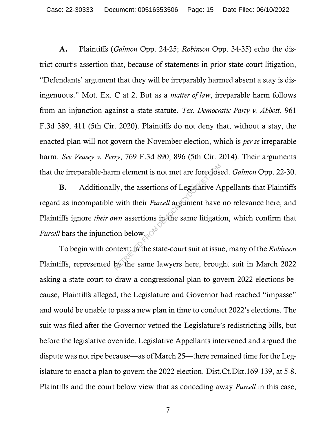A. Plaintiffs (*Galmon* Opp. 24-25; *Robinson* Opp. 34-35) echo the district court's assertion that, because of statements in prior state-court litigation, "Defendants' argument that they will be irreparably harmed absent a stay is disingenuous." Mot. Ex. C at 2. But as a *matter of law*, irreparable harm follows from an injunction against a state statute. *Tex. Democratic Party v. Abbott*, 961 F.3d 389, 411 (5th Cir. 2020). Plaintiffs do not deny that, without a stay, the enacted plan will not govern the November election, which is *per se* irreparable harm. *See Veasey v. Perry*, 769 F.3d 890, 896 (5th Cir. 2014). Their arguments that the irreparable-harm element is not met are foreclosed. *Galmon* Opp. 22-30.

B. Additionally, the assertions of Legislative Appellants that Plaintiffs regard as incompatible with their *Purcell* argument have no relevance here, and Plaintiffs ignore *their own* assertions in the same litigation, which confirm that *Purcell* bars the injunction below. m element is not met are forecless<br>ly, the assertions of Legislative A<br>with their *Purcell* argument have<br>wn assertions in the same litigation<br>on below.<br>the same lawyers here, brought the same lawyers here, brought

To begin with context: in the state-court suit at issue, many of the *Robinson* Plaintiffs, represented by the same lawyers here, brought suit in March 2022 asking a state court to draw a congressional plan to govern 2022 elections because, Plaintiffs alleged, the Legislature and Governor had reached "impasse" and would be unable to pass a new plan in time to conduct 2022's elections. The suit was filed after the Governor vetoed the Legislature's redistricting bills, but before the legislative override. Legislative Appellants intervened and argued the dispute was not ripe because—as of March 25—there remained time for the Legislature to enact a plan to govern the 2022 election. Dist.Ct.Dkt.169-139, at 5-8. Plaintiffs and the court below view that as conceding away *Purcell* in this case,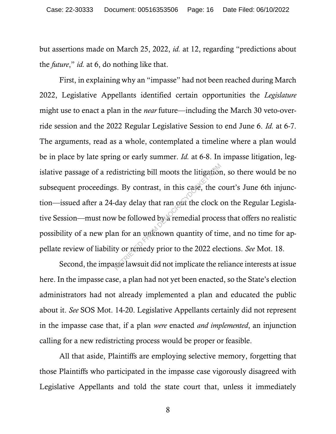but assertions made on March 25, 2022, *id.* at 12, regarding "predictions about the *future*," *id.* at 6, do nothing like that.

First, in explaining why an "impasse" had not been reached during March 2022, Legislative Appellants identified certain opportunities the *Legislature* might use to enact a plan in the *near* future—including the March 30 veto-override session and the 2022 Regular Legislative Session to end June 6. *Id.* at 6-7. The arguments, read as a whole, contemplated a timeline where a plan would be in place by late spring or early summer. *Id.* at 6-8. In impasse litigation, legislative passage of a redistricting bill moots the litigation, so there would be no subsequent proceedings. By contrast, in this case, the court's June 6th injunction—issued after a 24-day delay that ran out the clock on the Regular Legislative Session—must now be followed by a remedial process that offers no realistic possibility of a new plan for an unknown quantity of time, and no time for appellate review of liability or remedy prior to the 2022 elections. *See* Mot. 18. districting bill moots the litigation<br>s. By contrast, in this case, the c<br>day delay that ran out the clock of<br>which are dial proces<br>in for an unknown quantity of tir<br>ty or remedy prior to the 2022 ele<br>sse lawsuit did not i

Second, the impasse lawsuit did not implicate the reliance interests at issue here. In the impasse case, a plan had not yet been enacted, so the State's election administrators had not already implemented a plan and educated the public about it. *See* SOS Mot. 14-20. Legislative Appellants certainly did not represent in the impasse case that, if a plan *were* enacted *and implemented*, an injunction calling for a new redistricting process would be proper or feasible.

All that aside, Plaintiffs are employing selective memory, forgetting that those Plaintiffs who participated in the impasse case vigorously disagreed with Legislative Appellants and told the state court that, unless it immediately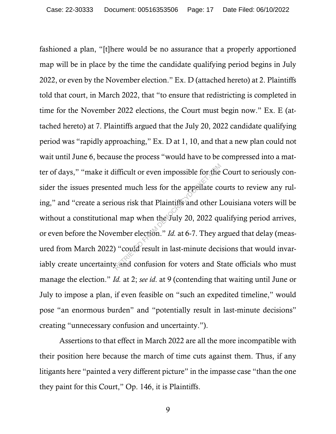fashioned a plan, "[t]here would be no assurance that a properly apportioned map will be in place by the time the candidate qualifying period begins in July 2022, or even by the November election." Ex. D (attached hereto) at 2. Plaintiffs told that court, in March 2022, that "to ensure that redistricting is completed in time for the November 2022 elections, the Court must begin now." Ex. E (attached hereto) at 7. Plaintiffs argued that the July 20, 2022 candidate qualifying period was "rapidly approaching," Ex. D at 1, 10, and that a new plan could not wait until June 6, because the process "would have to be compressed into a matter of days," "make it difficult or even impossible for the Court to seriously consider the issues presented much less for the appellate courts to review any ruling," and "create a serious risk that Plaintiffs and other Louisiana voters will be without a constitutional map when the July 20, 2022 qualifying period arrives, or even before the November election." *Id.* at 6-7. They argued that delay (measured from March 2022) "could result in last-minute decisions that would invariably create uncertainty and confusion for voters and State officials who must manage the election." *Id.* at 2; *see id*. at 9 (contending that waiting until June or July to impose a plan, if even feasible on "such an expedited timeline," would pose "an enormous burden" and "potentially result in last-minute decisions" creating "unnecessary confusion and uncertainty."). ifficult or even impossible for the<br>ed much less for the appellate co<br>ous risk that Plaintiffs and other I<br>al map when the July 20, 2022 qu<br>ember election." *Id.* at 6-7. They a<br>amber election." *Id.* at 6-7. They a<br>yeard

Assertions to that effect in March 2022 are all the more incompatible with their position here because the march of time cuts against them. Thus, if any litigants here "painted a very different picture" in the impasse case "than the one they paint for this Court," Op. 146, it is Plaintiffs.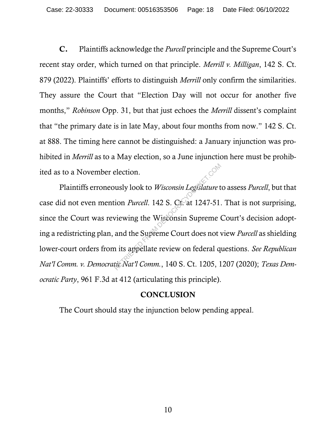C. Plaintiffs acknowledge the *Purcell* principle and the Supreme Court's recent stay order, which turned on that principle. *Merrill v. Milligan*, 142 S. Ct. 879 (2022). Plaintiffs' efforts to distinguish *Merrill* only confirm the similarities. They assure the Court that "Election Day will not occur for another five months," *Robinson* Opp. 31, but that just echoes the *Merrill* dissent's complaint that "the primary date is in late May, about four months from now." 142 S. Ct. at 888. The timing here cannot be distinguished: a January injunction was prohibited in *Merrill* as to a May election, so a June injunction here must be prohibited as to a November election.

Plaintiffs erroneously look to *Wisconsin Legislature* to assess *Purcell*, but that case did not even mention *Purcell*. 142 S. Ct. at 1247-51. That is not surprising, since the Court was reviewing the Wisconsin Supreme Court's decision adopting a redistricting plan, and the Supreme Court does not view *Purcell* as shielding lower-court orders from its appellate review on federal questions. *See Republican Nat'l Comm. v. Democratic Nat'l Comm.*, 140 S. Ct. 1205, 1207 (2020); *Texas Democratic Party*, 961 F.3d at 412 (articulating this principle). election.<br>
usly look to *Wisconsin Legislature* t<br>
ion *Purcell*. 142 S. Ct. at 1247-51.<br>
viewing the Wisconsin Supreme<br>
and the Supreme Court does not v<br>
is appellate review on federal q<br>
tieNat'l Comm., 140 S. Ct. 1205,

### **CONCLUSION**

The Court should stay the injunction below pending appeal.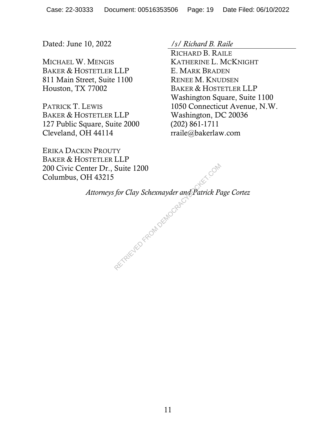Dated: June 10, 2022 */s/ Richard B. Raile*

MICHAEL W. MENGIS BAKER & HOSTETLER LLP 811 Main Street, Suite 1100 Houston, TX 77002

PATRICK T. LEWIS BAKER & HOSTETLER LLP 127 Public Square, Suite 2000 Cleveland, OH 44114

RICHARD B. RAILE KATHERINE L. MCKNIGHT E. MARK BRADEN RENEE M. KNUDSEN BAKER & HOSTETLER LLP Washington Square, Suite 1100 1050 Connecticut Avenue, N.W. Washington, DC 20036 (202) 861-1711 rraile@bakerlaw.com

ERIKA DACKIN PROUTY BAKER & HOSTETLER LLP 200 Civic Center Dr., Suite 1200 Columbus, OH 43215

S for Clay Schexnayder and Patrick P

*Attorneys for Clay Schexnayder and Patrick Page Cortez*